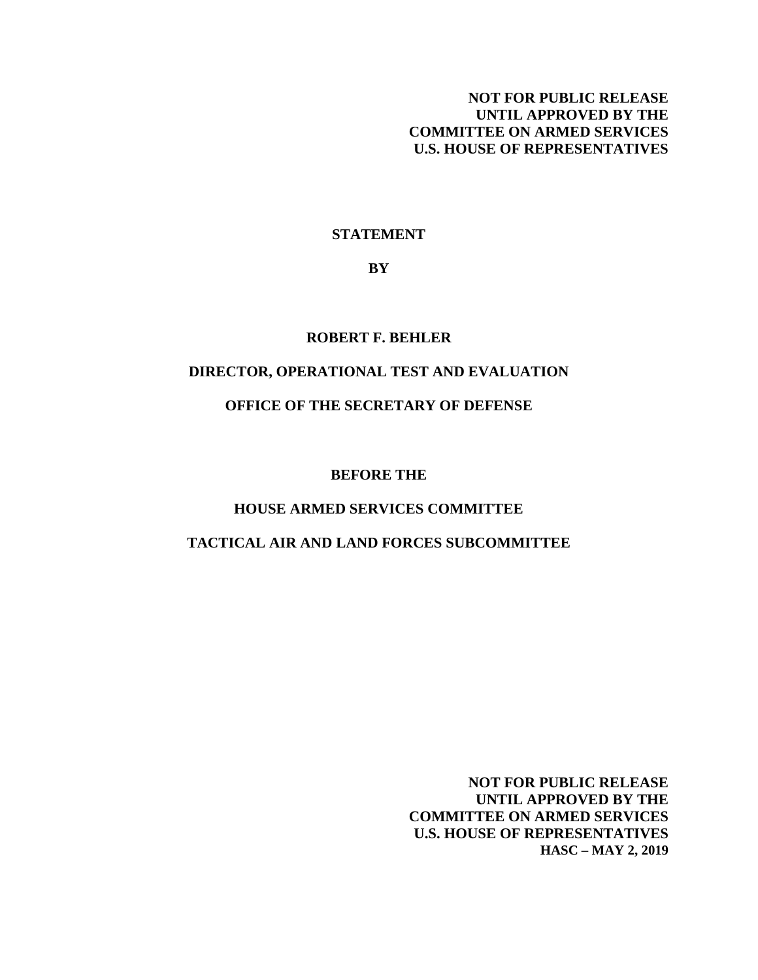# **NOT FOR PUBLIC RELEASE UNTIL APPROVED BY THE COMMITTEE ON ARMED SERVICES U.S. HOUSE OF REPRESENTATIVES**

## **STATEMENT**

**BY**

### **ROBERT F. BEHLER**

## **DIRECTOR, OPERATIONAL TEST AND EVALUATION**

## **OFFICE OF THE SECRETARY OF DEFENSE**

#### **BEFORE THE**

## **HOUSE ARMED SERVICES COMMITTEE**

#### **TACTICAL AIR AND LAND FORCES SUBCOMMITTEE**

**NOT FOR PUBLIC RELEASE UNTIL APPROVED BY THE COMMITTEE ON ARMED SERVICES U.S. HOUSE OF REPRESENTATIVES HASC – MAY 2, 2019**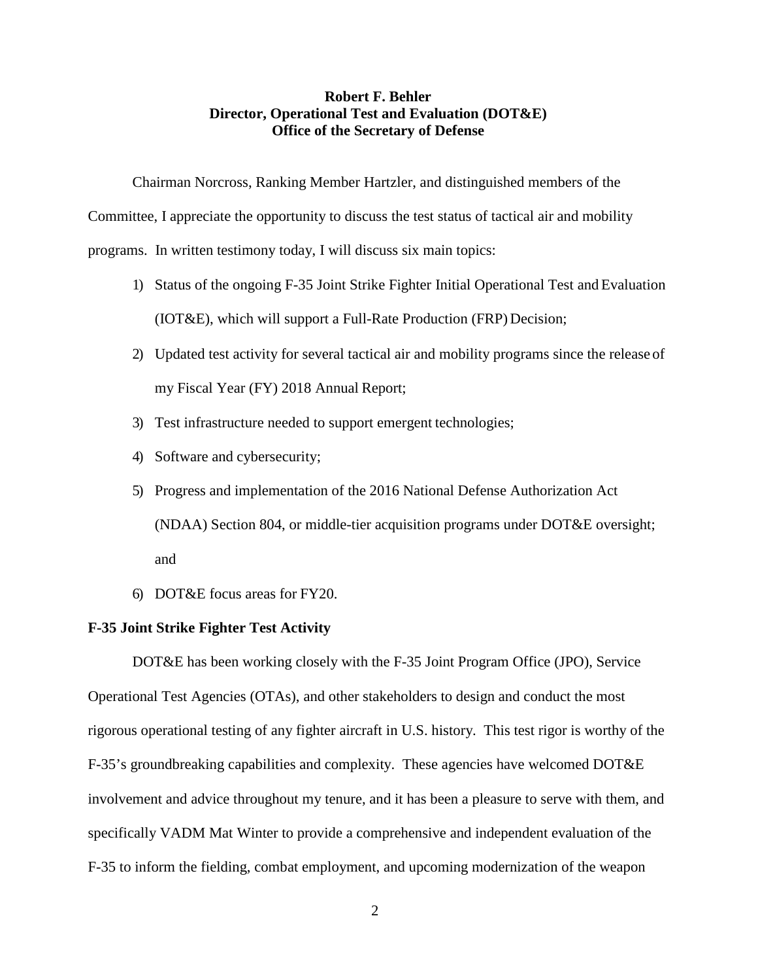## **Robert F. Behler Director, Operational Test and Evaluation (DOT&E) Office of the Secretary of Defense**

Chairman Norcross, Ranking Member Hartzler, and distinguished members of the

Committee, I appreciate the opportunity to discuss the test status of tactical air and mobility

programs. In written testimony today, I will discuss six main topics:

- 1) Status of the ongoing F-35 Joint Strike Fighter Initial Operational Test and Evaluation (IOT&E), which will support a Full-Rate Production (FRP) Decision;
- 2) Updated test activity for several tactical air and mobility programs since the release of my Fiscal Year (FY) 2018 Annual Report;
- 3) Test infrastructure needed to support emergent technologies;
- 4) Software and cybersecurity;
- 5) Progress and implementation of the 2016 National Defense Authorization Act (NDAA) Section 804, or middle-tier acquisition programs under DOT&E oversight; and
- 6) DOT&E focus areas for FY20.

### **F-35 Joint Strike Fighter Test Activity**

DOT&E has been working closely with the F-35 Joint Program Office (JPO), Service Operational Test Agencies (OTAs), and other stakeholders to design and conduct the most rigorous operational testing of any fighter aircraft in U.S. history. This test rigor is worthy of the F-35's groundbreaking capabilities and complexity. These agencies have welcomed DOT&E involvement and advice throughout my tenure, and it has been a pleasure to serve with them, and specifically VADM Mat Winter to provide a comprehensive and independent evaluation of the F-35 to inform the fielding, combat employment, and upcoming modernization of the weapon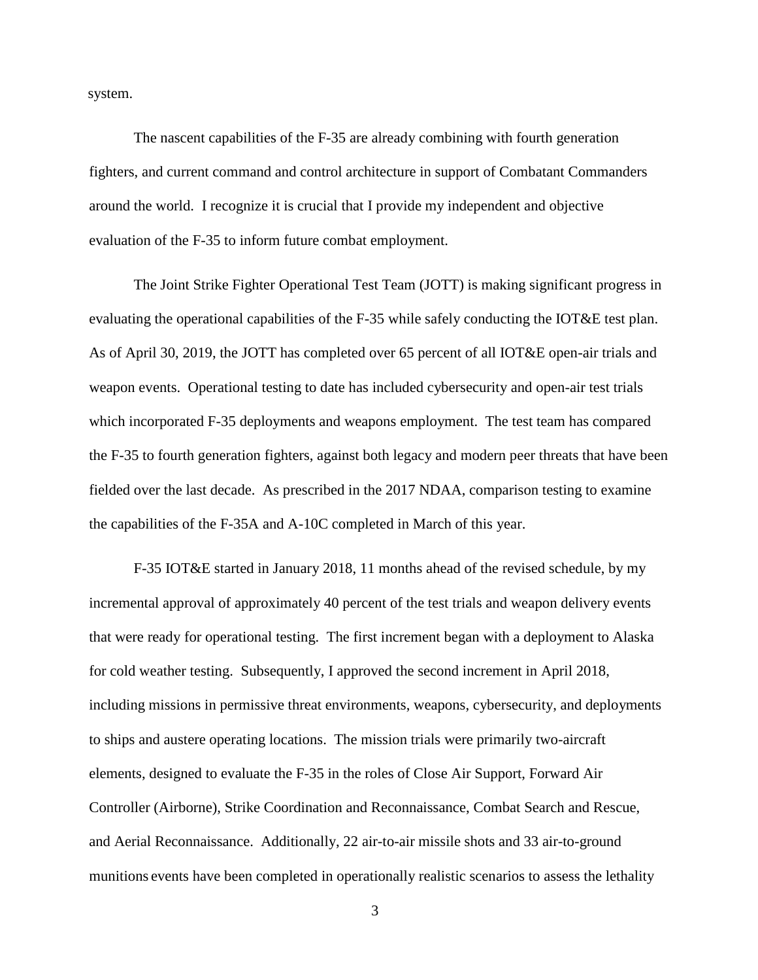system.

The nascent capabilities of the F-35 are already combining with fourth generation fighters, and current command and control architecture in support of Combatant Commanders around the world. I recognize it is crucial that I provide my independent and objective evaluation of the F-35 to inform future combat employment.

The Joint Strike Fighter Operational Test Team (JOTT) is making significant progress in evaluating the operational capabilities of the F-35 while safely conducting the IOT&E test plan. As of April 30, 2019, the JOTT has completed over 65 percent of all IOT&E open-air trials and weapon events. Operational testing to date has included cybersecurity and open-air test trials which incorporated F-35 deployments and weapons employment. The test team has compared the F-35 to fourth generation fighters, against both legacy and modern peer threats that have been fielded over the last decade. As prescribed in the 2017 NDAA, comparison testing to examine the capabilities of the F-35A and A-10C completed in March of this year.

F-35 IOT&E started in January 2018, 11 months ahead of the revised schedule, by my incremental approval of approximately 40 percent of the test trials and weapon delivery events that were ready for operational testing. The first increment began with a deployment to Alaska for cold weather testing. Subsequently, I approved the second increment in April 2018, including missions in permissive threat environments, weapons, cybersecurity, and deployments to ships and austere operating locations. The mission trials were primarily two-aircraft elements, designed to evaluate the F-35 in the roles of Close Air Support, Forward Air Controller (Airborne), Strike Coordination and Reconnaissance, Combat Search and Rescue, and Aerial Reconnaissance. Additionally, 22 air-to-air missile shots and 33 air-to-ground munitions events have been completed in operationally realistic scenarios to assess the lethality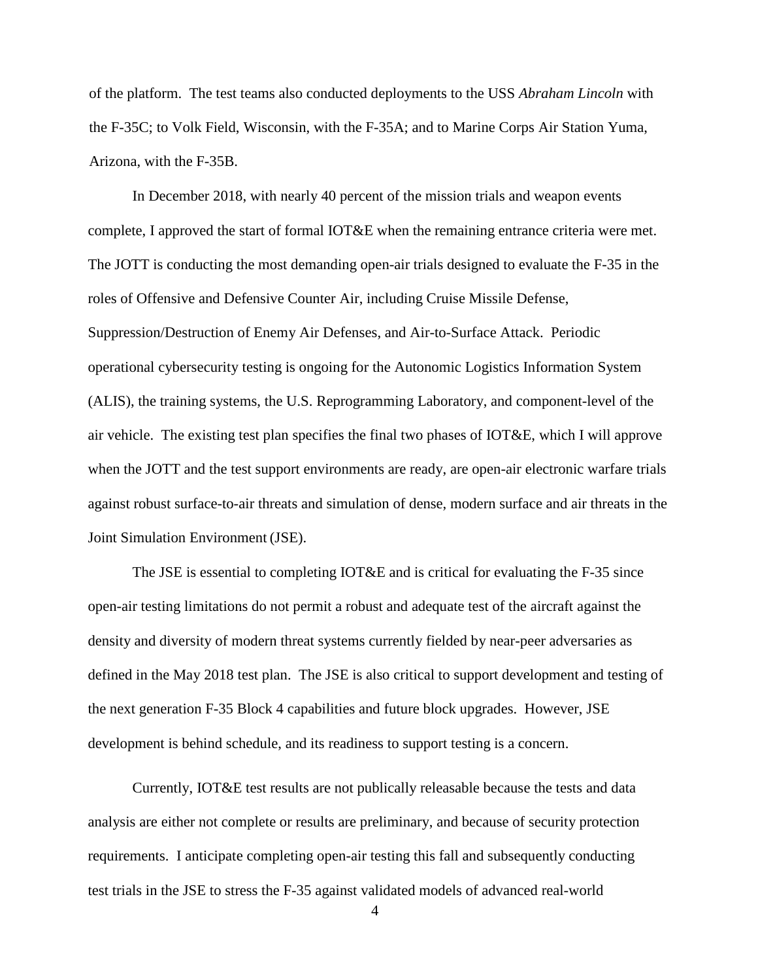of the platform. The test teams also conducted deployments to the USS *Abraham Lincoln* with the F-35C; to Volk Field, Wisconsin, with the F-35A; and to Marine Corps Air Station Yuma, Arizona, with the F-35B.

In December 2018, with nearly 40 percent of the mission trials and weapon events complete, I approved the start of formal IOT&E when the remaining entrance criteria were met. The JOTT is conducting the most demanding open-air trials designed to evaluate the F-35 in the roles of Offensive and Defensive Counter Air, including Cruise Missile Defense, Suppression/Destruction of Enemy Air Defenses, and Air-to-Surface Attack. Periodic operational cybersecurity testing is ongoing for the Autonomic Logistics Information System (ALIS), the training systems, the U.S. Reprogramming Laboratory, and component-level of the air vehicle. The existing test plan specifies the final two phases of IOT&E, which I will approve when the JOTT and the test support environments are ready, are open-air electronic warfare trials against robust surface-to-air threats and simulation of dense, modern surface and air threats in the Joint Simulation Environment (JSE).

The JSE is essential to completing IOT&E and is critical for evaluating the F-35 since open-air testing limitations do not permit a robust and adequate test of the aircraft against the density and diversity of modern threat systems currently fielded by near-peer adversaries as defined in the May 2018 test plan. The JSE is also critical to support development and testing of the next generation F-35 Block 4 capabilities and future block upgrades. However, JSE development is behind schedule, and its readiness to support testing is a concern.

Currently, IOT&E test results are not publically releasable because the tests and data analysis are either not complete or results are preliminary, and because of security protection requirements. I anticipate completing open-air testing this fall and subsequently conducting test trials in the JSE to stress the F-35 against validated models of advanced real-world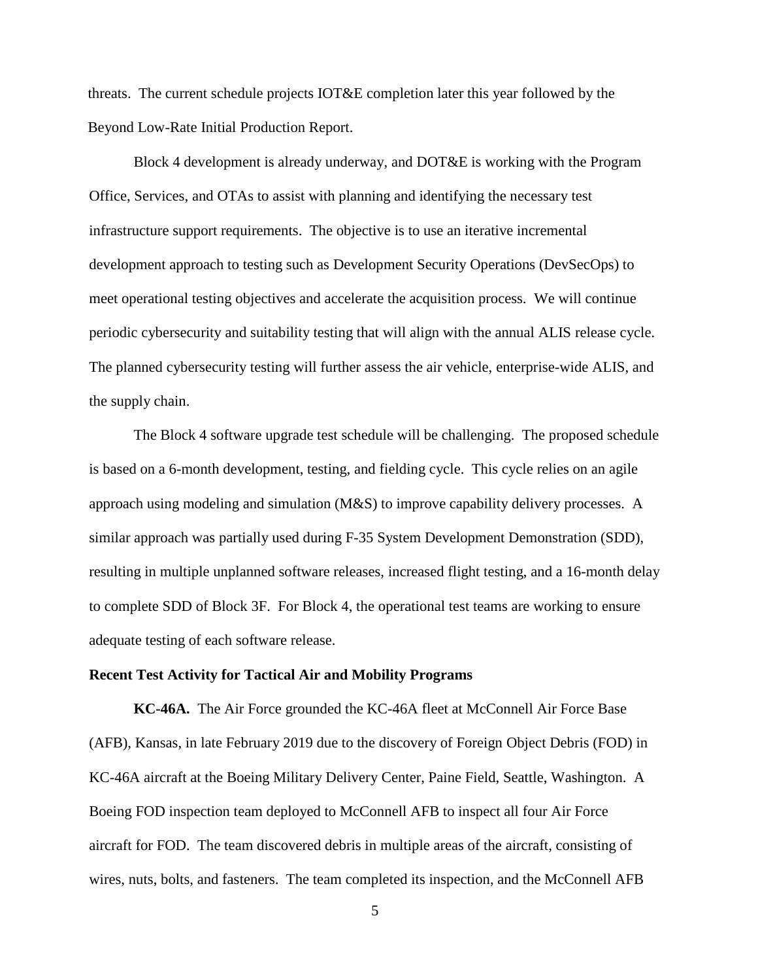threats. The current schedule projects IOT&E completion later this year followed by the Beyond Low-Rate Initial Production Report.

Block 4 development is already underway, and DOT&E is working with the Program Office, Services, and OTAs to assist with planning and identifying the necessary test infrastructure support requirements. The objective is to use an iterative incremental development approach to testing such as Development Security Operations (DevSecOps) to meet operational testing objectives and accelerate the acquisition process. We will continue periodic cybersecurity and suitability testing that will align with the annual ALIS release cycle. The planned cybersecurity testing will further assess the air vehicle, enterprise-wide ALIS, and the supply chain.

The Block 4 software upgrade test schedule will be challenging. The proposed schedule is based on a 6-month development, testing, and fielding cycle. This cycle relies on an agile approach using modeling and simulation (M&S) to improve capability delivery processes. A similar approach was partially used during F-35 System Development Demonstration (SDD), resulting in multiple unplanned software releases, increased flight testing, and a 16-month delay to complete SDD of Block 3F. For Block 4, the operational test teams are working to ensure adequate testing of each software release.

#### **Recent Test Activity for Tactical Air and Mobility Programs**

**KC-46A.** The Air Force grounded the KC-46A fleet at McConnell Air Force Base (AFB), Kansas, in late February 2019 due to the discovery of Foreign Object Debris (FOD) in KC-46A aircraft at the Boeing Military Delivery Center, Paine Field, Seattle, Washington. A Boeing FOD inspection team deployed to McConnell AFB to inspect all four Air Force aircraft for FOD. The team discovered debris in multiple areas of the aircraft, consisting of wires, nuts, bolts, and fasteners. The team completed its inspection, and the McConnell AFB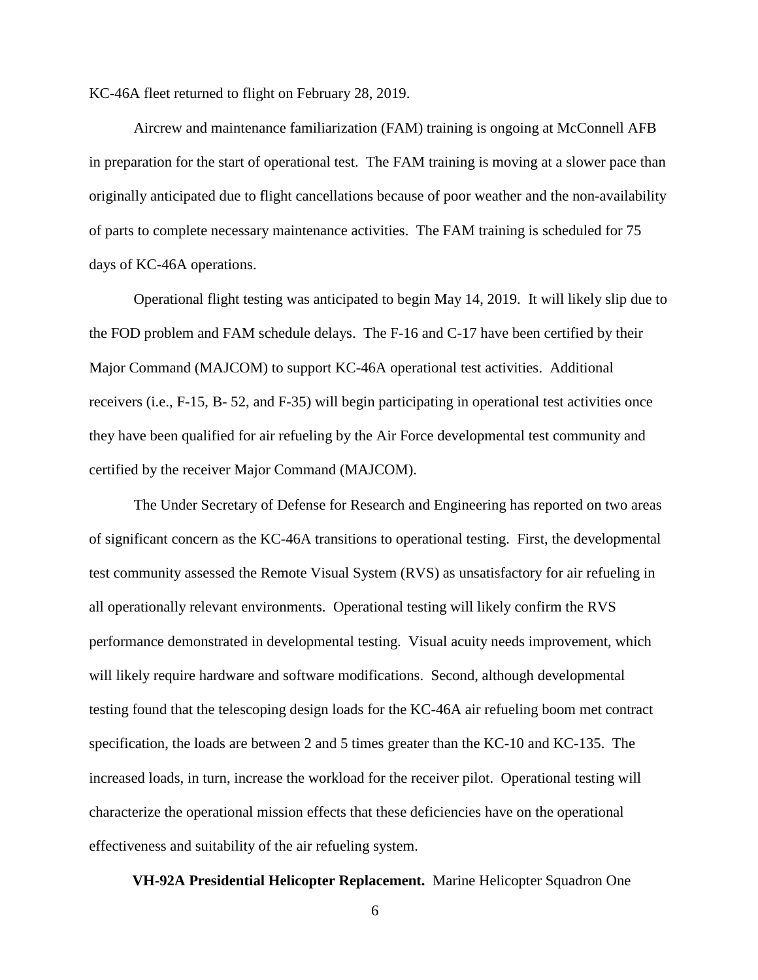KC-46A fleet returned to flight on February 28, 2019.

Aircrew and maintenance familiarization (FAM) training is ongoing at McConnell AFB in preparation for the start of operational test. The FAM training is moving at a slower pace than originally anticipated due to flight cancellations because of poor weather and the non-availability of parts to complete necessary maintenance activities. The FAM training is scheduled for 75 days of KC-46A operations.

Operational flight testing was anticipated to begin May 14, 2019. It will likely slip due to the FOD problem and FAM schedule delays. The F-16 and C-17 have been certified by their Major Command (MAJCOM) to support KC-46A operational test activities. Additional receivers (i.e., F-15, B- 52, and F-35) will begin participating in operational test activities once they have been qualified for air refueling by the Air Force developmental test community and certified by the receiver Major Command (MAJCOM).

The Under Secretary of Defense for Research and Engineering has reported on two areas of significant concern as the KC-46A transitions to operational testing. First, the developmental test community assessed the Remote Visual System (RVS) as unsatisfactory for air refueling in all operationally relevant environments. Operational testing will likely confirm the RVS performance demonstrated in developmental testing. Visual acuity needs improvement, which will likely require hardware and software modifications. Second, although developmental testing found that the telescoping design loads for the KC-46A air refueling boom met contract specification, the loads are between 2 and 5 times greater than the KC-10 and KC-135. The increased loads, in turn, increase the workload for the receiver pilot. Operational testing will characterize the operational mission effects that these deficiencies have on the operational effectiveness and suitability of the air refueling system.

**VH-92A Presidential Helicopter Replacement.** Marine Helicopter Squadron One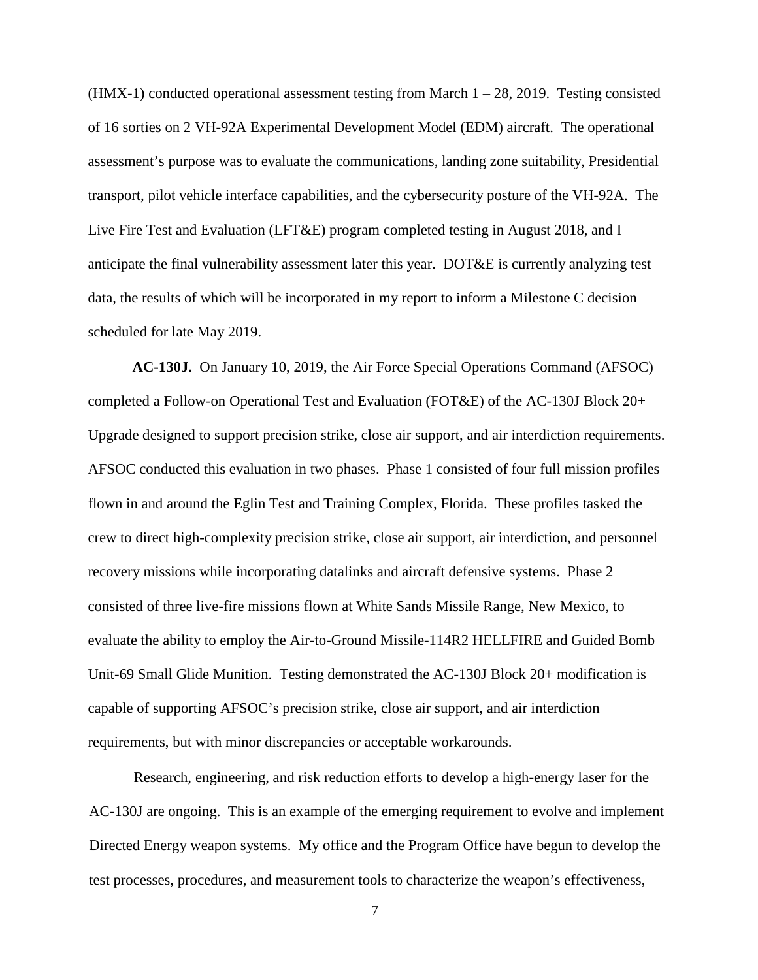$(HMX-1)$  conducted operational assessment testing from March  $1 - 28$ , 2019. Testing consisted of 16 sorties on 2 VH-92A Experimental Development Model (EDM) aircraft. The operational assessment's purpose was to evaluate the communications, landing zone suitability, Presidential transport, pilot vehicle interface capabilities, and the cybersecurity posture of the VH-92A. The Live Fire Test and Evaluation (LFT&E) program completed testing in August 2018, and I anticipate the final vulnerability assessment later this year. DOT&E is currently analyzing test data, the results of which will be incorporated in my report to inform a Milestone C decision scheduled for late May 2019.

**AC-130J.** On January 10, 2019, the Air Force Special Operations Command (AFSOC) completed a Follow-on Operational Test and Evaluation (FOT&E) of the AC-130J Block 20+ Upgrade designed to support precision strike, close air support, and air interdiction requirements. AFSOC conducted this evaluation in two phases. Phase 1 consisted of four full mission profiles flown in and around the Eglin Test and Training Complex, Florida. These profiles tasked the crew to direct high-complexity precision strike, close air support, air interdiction, and personnel recovery missions while incorporating datalinks and aircraft defensive systems. Phase 2 consisted of three live-fire missions flown at White Sands Missile Range, New Mexico, to evaluate the ability to employ the Air-to-Ground Missile-114R2 HELLFIRE and Guided Bomb Unit-69 Small Glide Munition. Testing demonstrated the AC-130J Block 20+ modification is capable of supporting AFSOC's precision strike, close air support, and air interdiction requirements, but with minor discrepancies or acceptable workarounds.

Research, engineering, and risk reduction efforts to develop a high-energy laser for the AC-130J are ongoing. This is an example of the emerging requirement to evolve and implement Directed Energy weapon systems. My office and the Program Office have begun to develop the test processes, procedures, and measurement tools to characterize the weapon's effectiveness,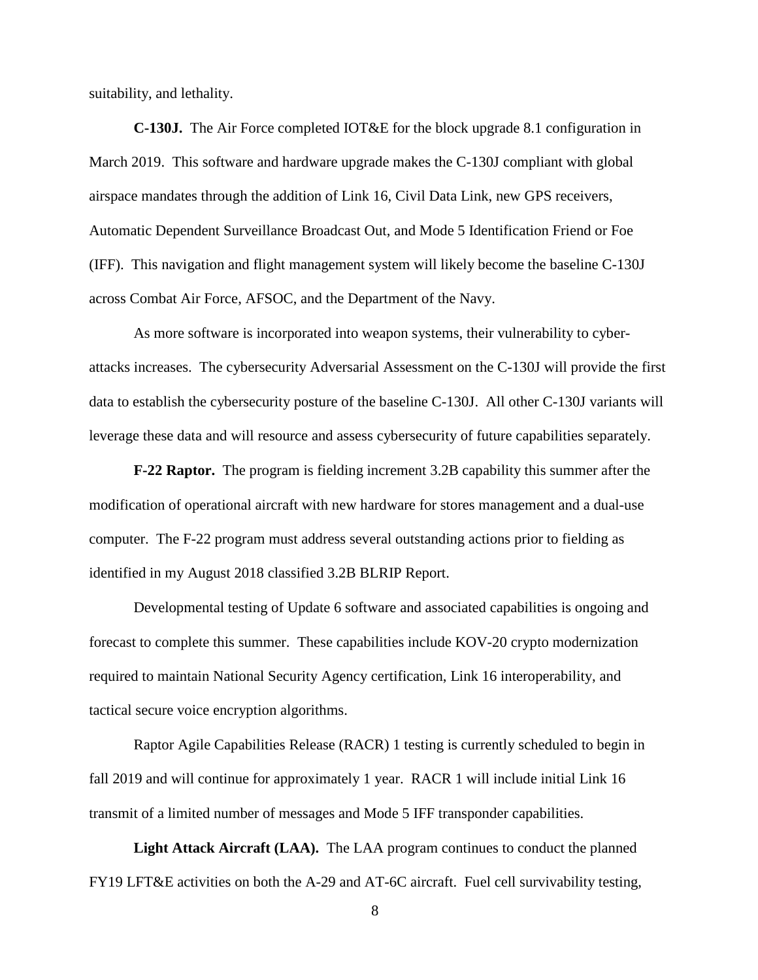suitability, and lethality.

**C-130J.** The Air Force completed IOT&E for the block upgrade 8.1 configuration in March 2019. This software and hardware upgrade makes the C-130J compliant with global airspace mandates through the addition of Link 16, Civil Data Link, new GPS receivers, Automatic Dependent Surveillance Broadcast Out, and Mode 5 Identification Friend or Foe (IFF). This navigation and flight management system will likely become the baseline C-130J across Combat Air Force, AFSOC, and the Department of the Navy.

As more software is incorporated into weapon systems, their vulnerability to cyberattacks increases. The cybersecurity Adversarial Assessment on the C-130J will provide the first data to establish the cybersecurity posture of the baseline C-130J. All other C-130J variants will leverage these data and will resource and assess cybersecurity of future capabilities separately.

**F-22 Raptor.** The program is fielding increment 3.2B capability this summer after the modification of operational aircraft with new hardware for stores management and a dual-use computer. The F-22 program must address several outstanding actions prior to fielding as identified in my August 2018 classified 3.2B BLRIP Report.

Developmental testing of Update 6 software and associated capabilities is ongoing and forecast to complete this summer. These capabilities include KOV-20 crypto modernization required to maintain National Security Agency certification, Link 16 interoperability, and tactical secure voice encryption algorithms.

Raptor Agile Capabilities Release (RACR) 1 testing is currently scheduled to begin in fall 2019 and will continue for approximately 1 year. RACR 1 will include initial Link 16 transmit of a limited number of messages and Mode 5 IFF transponder capabilities.

**Light Attack Aircraft (LAA).** The LAA program continues to conduct the planned FY19 LFT&E activities on both the A-29 and AT-6C aircraft. Fuel cell survivability testing,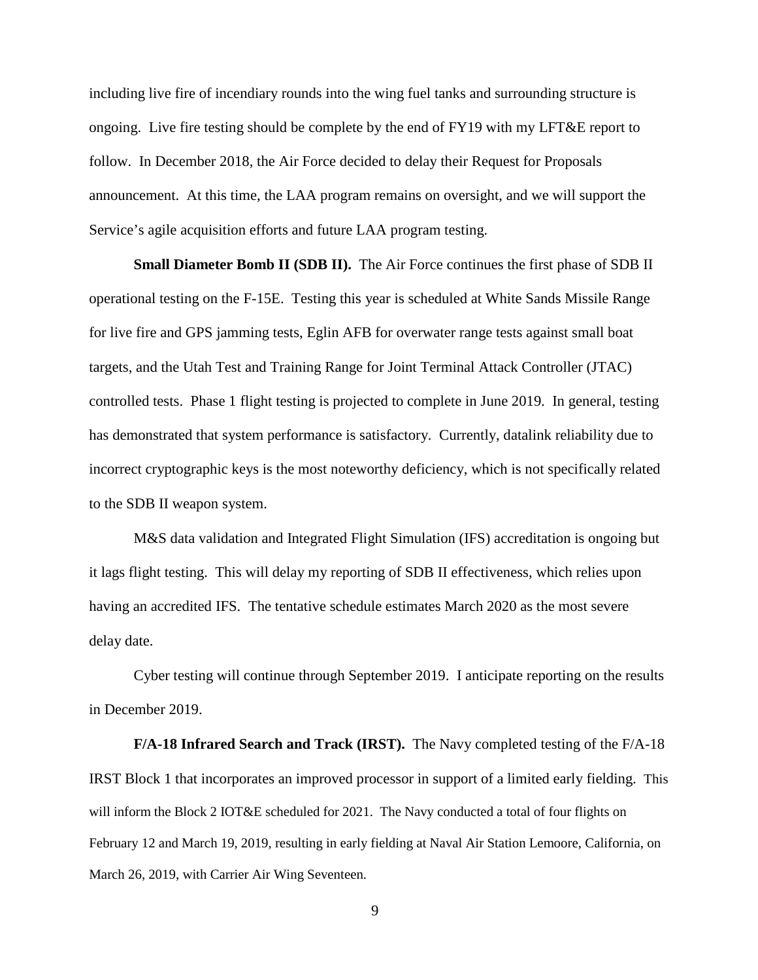including live fire of incendiary rounds into the wing fuel tanks and surrounding structure is ongoing. Live fire testing should be complete by the end of FY19 with my LFT&E report to follow. In December 2018, the Air Force decided to delay their Request for Proposals announcement. At this time, the LAA program remains on oversight, and we will support the Service's agile acquisition efforts and future LAA program testing.

**Small Diameter Bomb II (SDB II).** The Air Force continues the first phase of SDB II operational testing on the F-15E. Testing this year is scheduled at White Sands Missile Range for live fire and GPS jamming tests, Eglin AFB for overwater range tests against small boat targets, and the Utah Test and Training Range for Joint Terminal Attack Controller (JTAC) controlled tests. Phase 1 flight testing is projected to complete in June 2019. In general, testing has demonstrated that system performance is satisfactory. Currently, datalink reliability due to incorrect cryptographic keys is the most noteworthy deficiency, which is not specifically related to the SDB II weapon system.

M&S data validation and Integrated Flight Simulation (IFS) accreditation is ongoing but it lags flight testing. This will delay my reporting of SDB II effectiveness, which relies upon having an accredited IFS. The tentative schedule estimates March 2020 as the most severe delay date.

Cyber testing will continue through September 2019. I anticipate reporting on the results in December 2019.

**F/A-18 Infrared Search and Track (IRST).** The Navy completed testing of the F/A-18 IRST Block 1 that incorporates an improved processor in support of a limited early fielding. This will inform the Block 2 IOT&E scheduled for 2021. The Navy conducted a total of four flights on February 12 and March 19, 2019, resulting in early fielding at Naval Air Station Lemoore, California, on March 26, 2019, with Carrier Air Wing Seventeen.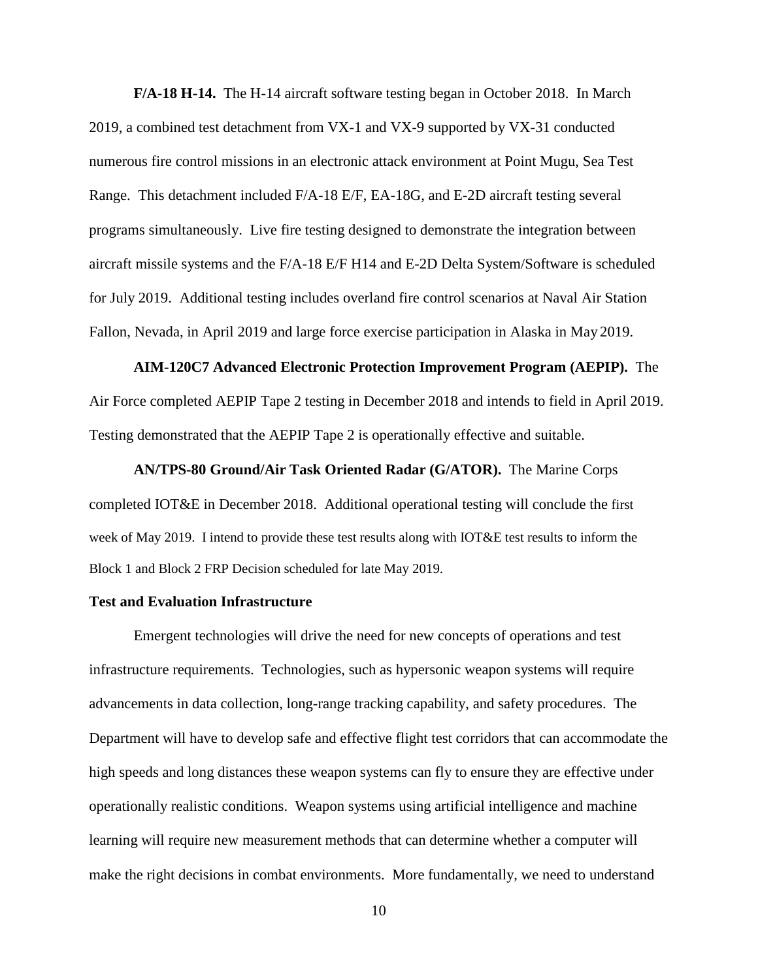**F/A-18 H-14.** The H-14 aircraft software testing began in October 2018. In March 2019, a combined test detachment from VX-1 and VX-9 supported by VX-31 conducted numerous fire control missions in an electronic attack environment at Point Mugu, Sea Test Range. This detachment included F/A-18 E/F, EA-18G, and E-2D aircraft testing several programs simultaneously. Live fire testing designed to demonstrate the integration between aircraft missile systems and the F/A-18 E/F H14 and E-2D Delta System/Software is scheduled for July 2019. Additional testing includes overland fire control scenarios at Naval Air Station Fallon, Nevada, in April 2019 and large force exercise participation in Alaska in May 2019.

**AIM-120C7 Advanced Electronic Protection Improvement Program (AEPIP).** The Air Force completed AEPIP Tape 2 testing in December 2018 and intends to field in April 2019. Testing demonstrated that the AEPIP Tape 2 is operationally effective and suitable.

**AN/TPS-80 Ground/Air Task Oriented Radar (G/ATOR).** The Marine Corps completed IOT&E in December 2018. Additional operational testing will conclude the first week of May 2019. I intend to provide these test results along with IOT&E test results to inform the Block 1 and Block 2 FRP Decision scheduled for late May 2019.

### **Test and Evaluation Infrastructure**

Emergent technologies will drive the need for new concepts of operations and test infrastructure requirements. Technologies, such as hypersonic weapon systems will require advancements in data collection, long-range tracking capability, and safety procedures. The Department will have to develop safe and effective flight test corridors that can accommodate the high speeds and long distances these weapon systems can fly to ensure they are effective under operationally realistic conditions. Weapon systems using artificial intelligence and machine learning will require new measurement methods that can determine whether a computer will make the right decisions in combat environments. More fundamentally, we need to understand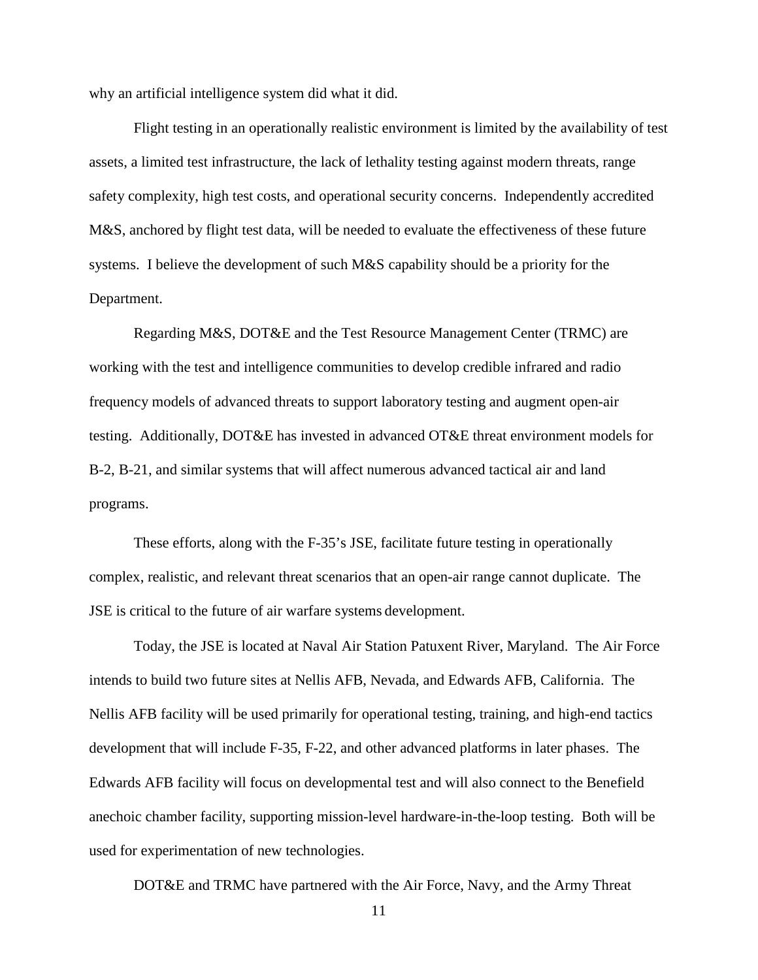why an artificial intelligence system did what it did.

Flight testing in an operationally realistic environment is limited by the availability of test assets, a limited test infrastructure, the lack of lethality testing against modern threats, range safety complexity, high test costs, and operational security concerns. Independently accredited M&S, anchored by flight test data, will be needed to evaluate the effectiveness of these future systems. I believe the development of such M&S capability should be a priority for the Department.

Regarding M&S, DOT&E and the Test Resource Management Center (TRMC) are working with the test and intelligence communities to develop credible infrared and radio frequency models of advanced threats to support laboratory testing and augment open-air testing. Additionally, DOT&E has invested in advanced OT&E threat environment models for B-2, B-21, and similar systems that will affect numerous advanced tactical air and land programs.

These efforts, along with the F-35's JSE, facilitate future testing in operationally complex, realistic, and relevant threat scenarios that an open-air range cannot duplicate. The JSE is critical to the future of air warfare systems development.

Today, the JSE is located at Naval Air Station Patuxent River, Maryland. The Air Force intends to build two future sites at Nellis AFB, Nevada, and Edwards AFB, California. The Nellis AFB facility will be used primarily for operational testing, training, and high-end tactics development that will include F-35, F-22, and other advanced platforms in later phases. The Edwards AFB facility will focus on developmental test and will also connect to the Benefield anechoic chamber facility, supporting mission-level hardware-in-the-loop testing. Both will be used for experimentation of new technologies.

DOT&E and TRMC have partnered with the Air Force, Navy, and the Army Threat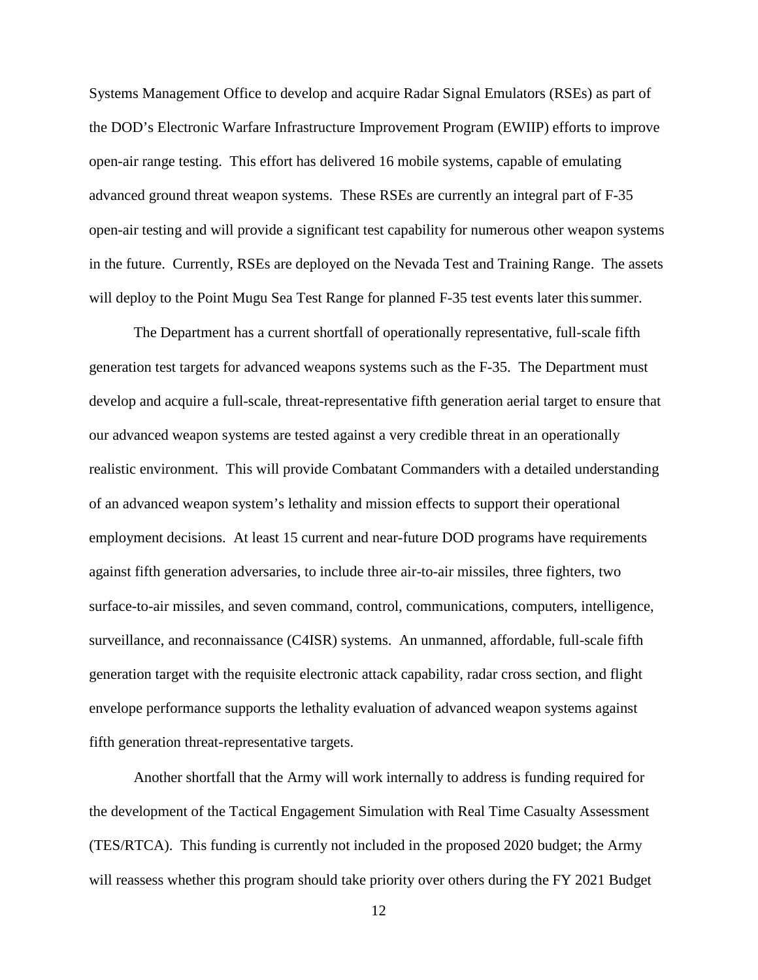Systems Management Office to develop and acquire Radar Signal Emulators (RSEs) as part of the DOD's Electronic Warfare Infrastructure Improvement Program (EWIIP) efforts to improve open-air range testing. This effort has delivered 16 mobile systems, capable of emulating advanced ground threat weapon systems. These RSEs are currently an integral part of F-35 open-air testing and will provide a significant test capability for numerous other weapon systems in the future. Currently, RSEs are deployed on the Nevada Test and Training Range. The assets will deploy to the Point Mugu Sea Test Range for planned F-35 test events later this summer.

The Department has a current shortfall of operationally representative, full-scale fifth generation test targets for advanced weapons systems such as the F-35. The Department must develop and acquire a full-scale, threat-representative fifth generation aerial target to ensure that our advanced weapon systems are tested against a very credible threat in an operationally realistic environment. This will provide Combatant Commanders with a detailed understanding of an advanced weapon system's lethality and mission effects to support their operational employment decisions. At least 15 current and near-future DOD programs have requirements against fifth generation adversaries, to include three air-to-air missiles, three fighters, two surface-to-air missiles, and seven command, control, communications, computers, intelligence, surveillance, and reconnaissance (C4ISR) systems. An unmanned, affordable, full-scale fifth generation target with the requisite electronic attack capability, radar cross section, and flight envelope performance supports the lethality evaluation of advanced weapon systems against fifth generation threat-representative targets.

Another shortfall that the Army will work internally to address is funding required for the development of the Tactical Engagement Simulation with Real Time Casualty Assessment (TES/RTCA). This funding is currently not included in the proposed 2020 budget; the Army will reassess whether this program should take priority over others during the FY 2021 Budget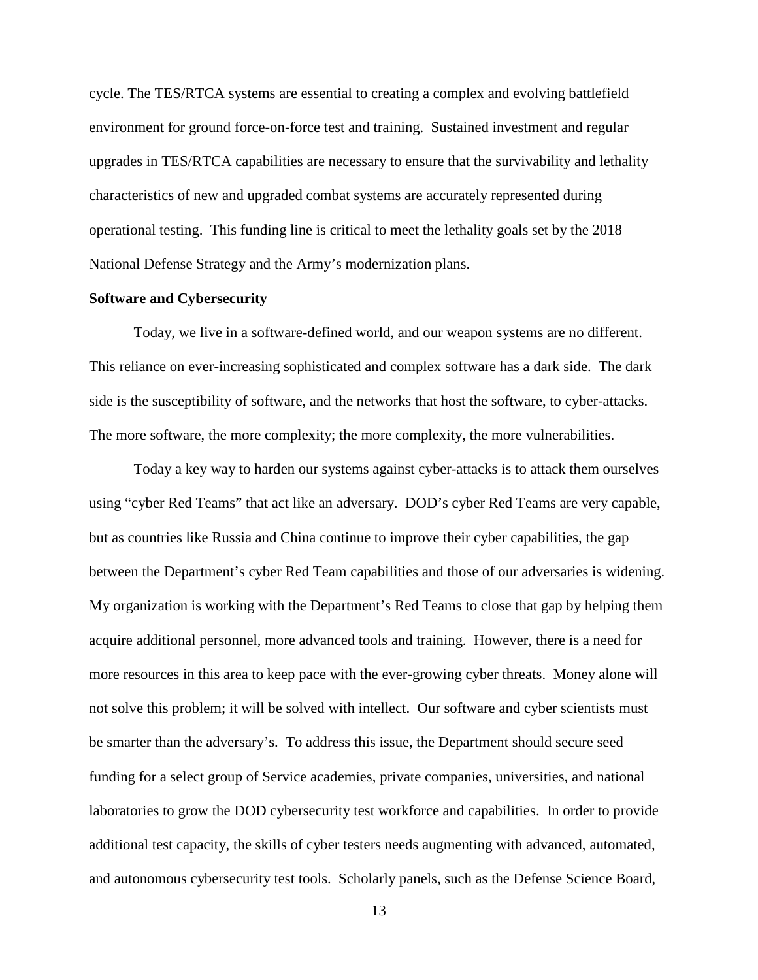cycle. The TES/RTCA systems are essential to creating a complex and evolving battlefield environment for ground force-on-force test and training. Sustained investment and regular upgrades in TES/RTCA capabilities are necessary to ensure that the survivability and lethality characteristics of new and upgraded combat systems are accurately represented during operational testing. This funding line is critical to meet the lethality goals set by the 2018 National Defense Strategy and the Army's modernization plans.

#### **Software and Cybersecurity**

Today, we live in a software-defined world, and our weapon systems are no different. This reliance on ever-increasing sophisticated and complex software has a dark side. The dark side is the susceptibility of software, and the networks that host the software, to cyber-attacks. The more software, the more complexity; the more complexity, the more vulnerabilities.

Today a key way to harden our systems against cyber-attacks is to attack them ourselves using "cyber Red Teams" that act like an adversary. DOD's cyber Red Teams are very capable, but as countries like Russia and China continue to improve their cyber capabilities, the gap between the Department's cyber Red Team capabilities and those of our adversaries is widening. My organization is working with the Department's Red Teams to close that gap by helping them acquire additional personnel, more advanced tools and training. However, there is a need for more resources in this area to keep pace with the ever-growing cyber threats. Money alone will not solve this problem; it will be solved with intellect. Our software and cyber scientists must be smarter than the adversary's. To address this issue, the Department should secure seed funding for a select group of Service academies, private companies, universities, and national laboratories to grow the DOD cybersecurity test workforce and capabilities. In order to provide additional test capacity, the skills of cyber testers needs augmenting with advanced, automated, and autonomous cybersecurity test tools. Scholarly panels, such as the Defense Science Board,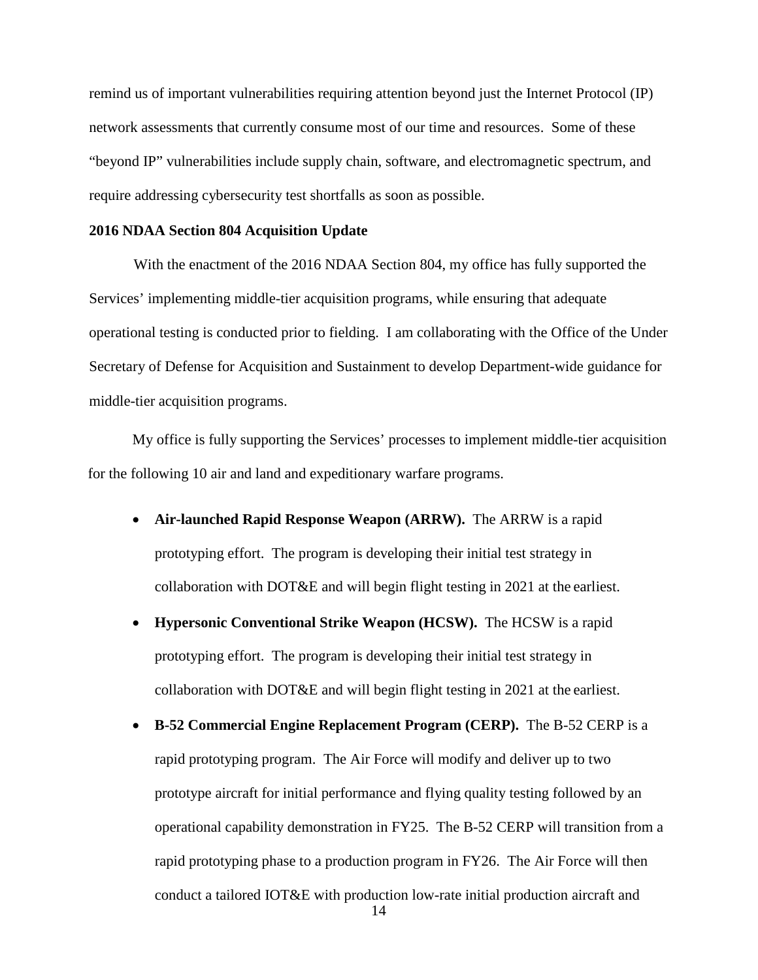remind us of important vulnerabilities requiring attention beyond just the Internet Protocol (IP) network assessments that currently consume most of our time and resources. Some of these "beyond IP" vulnerabilities include supply chain, software, and electromagnetic spectrum, and require addressing cybersecurity test shortfalls as soon as possible.

### **2016 NDAA Section 804 Acquisition Update**

With the enactment of the 2016 NDAA Section 804, my office has fully supported the Services' implementing middle-tier acquisition programs, while ensuring that adequate operational testing is conducted prior to fielding. I am collaborating with the Office of the Under Secretary of Defense for Acquisition and Sustainment to develop Department-wide guidance for middle-tier acquisition programs.

My office is fully supporting the Services' processes to implement middle-tier acquisition for the following 10 air and land and expeditionary warfare programs.

- **Air-launched Rapid Response Weapon (ARRW).** The ARRW is a rapid prototyping effort. The program is developing their initial test strategy in collaboration with DOT&E and will begin flight testing in 2021 at the earliest.
- **Hypersonic Conventional Strike Weapon (HCSW).** The HCSW is a rapid prototyping effort. The program is developing their initial test strategy in collaboration with DOT&E and will begin flight testing in 2021 at the earliest.
- **B-52 Commercial Engine Replacement Program (CERP).** The B-52 CERP is a rapid prototyping program. The Air Force will modify and deliver up to two prototype aircraft for initial performance and flying quality testing followed by an operational capability demonstration in FY25. The B-52 CERP will transition from a rapid prototyping phase to a production program in FY26. The Air Force will then conduct a tailored IOT&E with production low-rate initial production aircraft and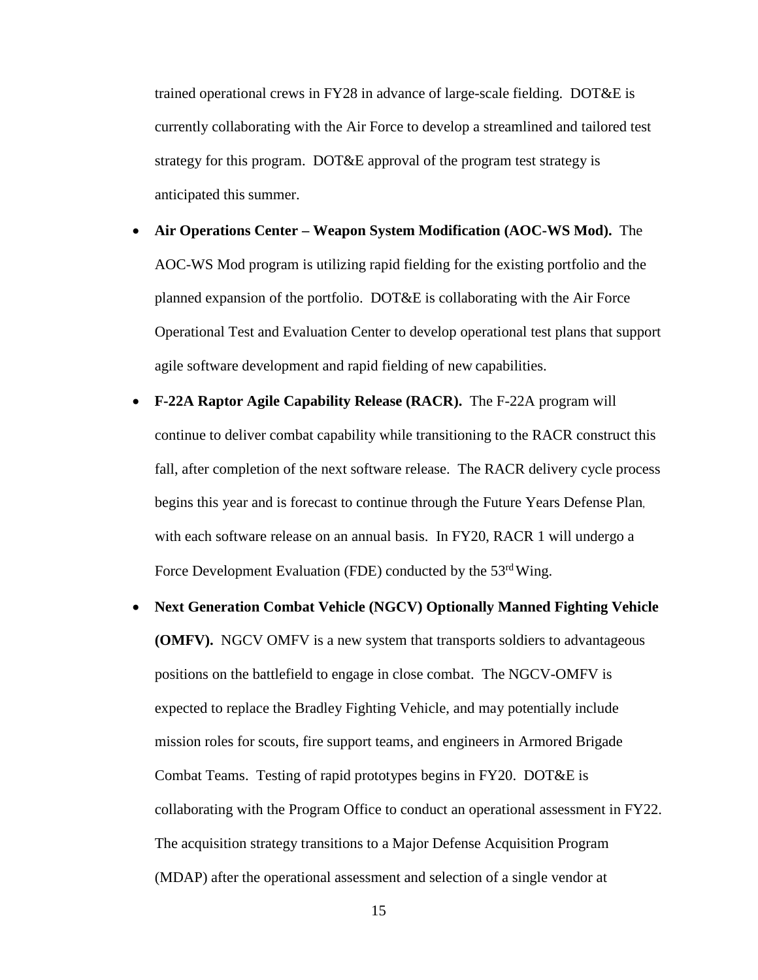trained operational crews in FY28 in advance of large-scale fielding. DOT&E is currently collaborating with the Air Force to develop a streamlined and tailored test strategy for this program. DOT&E approval of the program test strategy is anticipated this summer.

- **Air Operations Center – Weapon System Modification (AOC-WS Mod).** The AOC-WS Mod program is utilizing rapid fielding for the existing portfolio and the planned expansion of the portfolio. DOT&E is collaborating with the Air Force Operational Test and Evaluation Center to develop operational test plans that support agile software development and rapid fielding of new capabilities.
- **F-22A Raptor Agile Capability Release (RACR).** The F-22A program will continue to deliver combat capability while transitioning to the RACR construct this fall, after completion of the next software release. The RACR delivery cycle process begins this year and is forecast to continue through the Future Years Defense Plan, with each software release on an annual basis. In FY20, RACR 1 will undergo a Force Development Evaluation (FDE) conducted by the 53<sup>rd</sup> Wing.
- **Next Generation Combat Vehicle (NGCV) Optionally Manned Fighting Vehicle (OMFV).** NGCV OMFV is a new system that transports soldiers to advantageous positions on the battlefield to engage in close combat. The NGCV-OMFV is expected to replace the Bradley Fighting Vehicle, and may potentially include mission roles for scouts, fire support teams, and engineers in Armored Brigade Combat Teams. Testing of rapid prototypes begins in FY20. DOT&E is collaborating with the Program Office to conduct an operational assessment in FY22. The acquisition strategy transitions to a Major Defense Acquisition Program (MDAP) after the operational assessment and selection of a single vendor at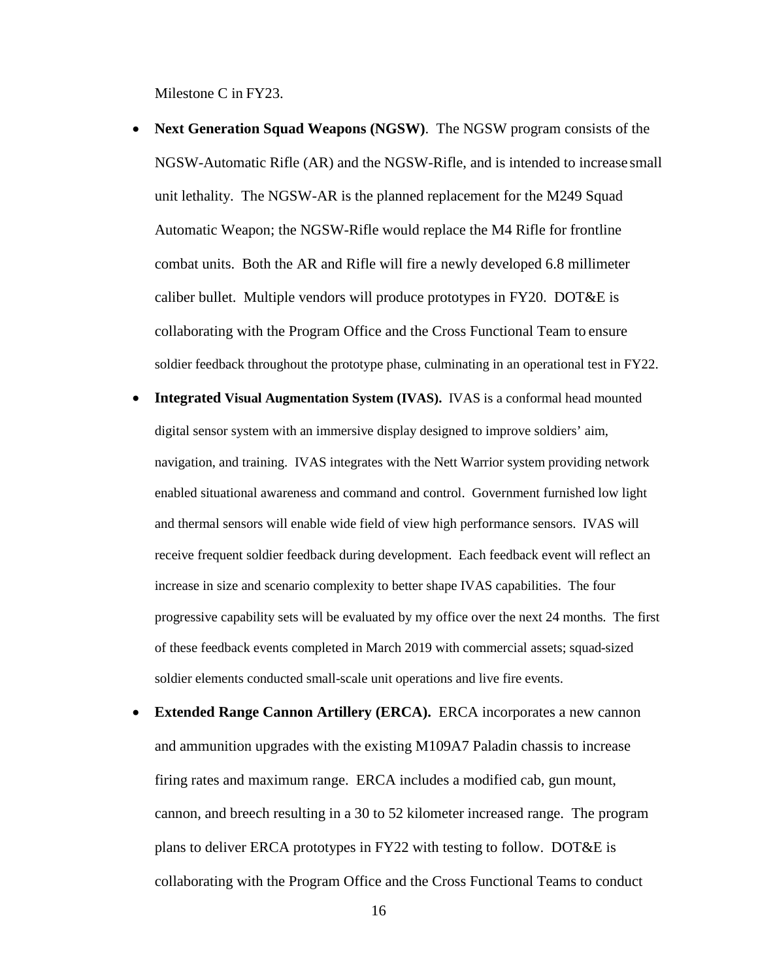Milestone C in FY23.

- **Next Generation Squad Weapons (NGSW)**. The NGSW program consists of the NGSW-Automatic Rifle (AR) and the NGSW-Rifle, and is intended to increase small unit lethality. The NGSW-AR is the planned replacement for the M249 Squad Automatic Weapon; the NGSW-Rifle would replace the M4 Rifle for frontline combat units. Both the AR and Rifle will fire a newly developed 6.8 millimeter caliber bullet. Multiple vendors will produce prototypes in FY20. DOT&E is collaborating with the Program Office and the Cross Functional Team to ensure soldier feedback throughout the prototype phase, culminating in an operational test in FY22.
- **Integrated Visual Augmentation System (IVAS).** IVAS is a conformal head mounted digital sensor system with an immersive display designed to improve soldiers' aim, navigation, and training. IVAS integrates with the Nett Warrior system providing network enabled situational awareness and command and control. Government furnished low light and thermal sensors will enable wide field of view high performance sensors. IVAS will receive frequent soldier feedback during development. Each feedback event will reflect an increase in size and scenario complexity to better shape IVAS capabilities. The four progressive capability sets will be evaluated by my office over the next 24 months. The first of these feedback events completed in March 2019 with commercial assets; squad-sized soldier elements conducted small-scale unit operations and live fire events.
- **Extended Range Cannon Artillery (ERCA).** ERCA incorporates a new cannon and ammunition upgrades with the existing M109A7 Paladin chassis to increase firing rates and maximum range. ERCA includes a modified cab, gun mount, cannon, and breech resulting in a 30 to 52 kilometer increased range. The program plans to deliver ERCA prototypes in FY22 with testing to follow. DOT&E is collaborating with the Program Office and the Cross Functional Teams to conduct